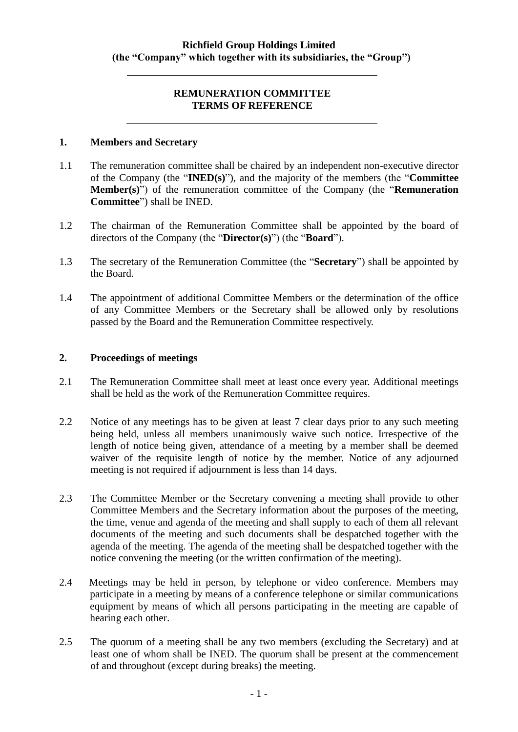### **REMUNERATION COMMITTEE TERMS OF REFERENCE**

### **1. Members and Secretary**

- 1.1 The remuneration committee shall be chaired by an independent non-executive director of the Company (the "**INED(s)**"), and the majority of the members (the "**Committee Member(s)**") of the remuneration committee of the Company (the "**Remuneration Committee**") shall be INED.
- 1.2 The chairman of the Remuneration Committee shall be appointed by the board of directors of the Company (the "**Director(s)**") (the "**Board**").
- 1.3 The secretary of the Remuneration Committee (the "**Secretary**") shall be appointed by the Board.
- 1.4 The appointment of additional Committee Members or the determination of the office of any Committee Members or the Secretary shall be allowed only by resolutions passed by the Board and the Remuneration Committee respectively.

## **2. Proceedings of meetings**

- 2.1 The Remuneration Committee shall meet at least once every year. Additional meetings shall be held as the work of the Remuneration Committee requires.
- 2.2 Notice of any meetings has to be given at least 7 clear days prior to any such meeting being held, unless all members unanimously waive such notice. Irrespective of the length of notice being given, attendance of a meeting by a member shall be deemed waiver of the requisite length of notice by the member. Notice of any adjourned meeting is not required if adjournment is less than 14 days.
- 2.3 The Committee Member or the Secretary convening a meeting shall provide to other Committee Members and the Secretary information about the purposes of the meeting, the time, venue and agenda of the meeting and shall supply to each of them all relevant documents of the meeting and such documents shall be despatched together with the agenda of the meeting. The agenda of the meeting shall be despatched together with the notice convening the meeting (or the written confirmation of the meeting).
- 2.4 Meetings may be held in person, by telephone or video conference. Members may participate in a meeting by means of a conference telephone or similar communications equipment by means of which all persons participating in the meeting are capable of hearing each other.
- 2.5 The quorum of a meeting shall be any two members (excluding the Secretary) and at least one of whom shall be INED. The quorum shall be present at the commencement of and throughout (except during breaks) the meeting.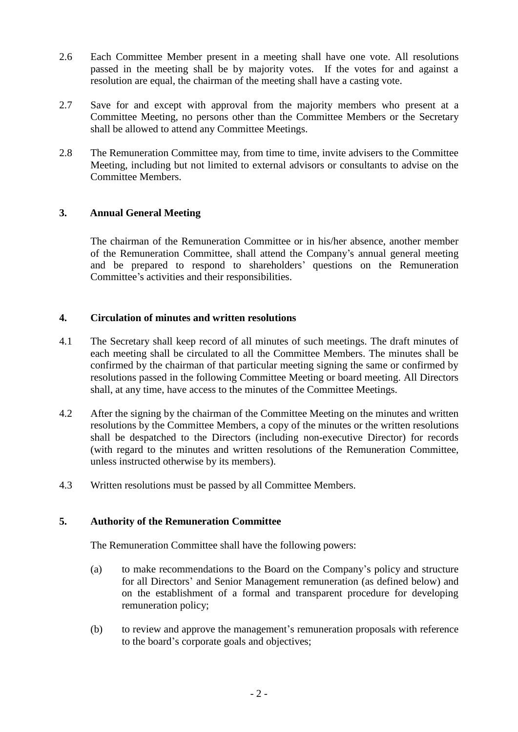- 2.6 Each Committee Member present in a meeting shall have one vote. All resolutions passed in the meeting shall be by majority votes. If the votes for and against a resolution are equal, the chairman of the meeting shall have a casting vote.
- 2.7 Save for and except with approval from the majority members who present at a Committee Meeting, no persons other than the Committee Members or the Secretary shall be allowed to attend any Committee Meetings.
- 2.8 The Remuneration Committee may, from time to time, invite advisers to the Committee Meeting, including but not limited to external advisors or consultants to advise on the Committee Members.

# **3. Annual General Meeting**

The chairman of the Remuneration Committee or in his/her absence, another member of the Remuneration Committee, shall attend the Company's annual general meeting and be prepared to respond to shareholders' questions on the Remuneration Committee's activities and their responsibilities.

## **4. Circulation of minutes and written resolutions**

- 4.1 The Secretary shall keep record of all minutes of such meetings. The draft minutes of each meeting shall be circulated to all the Committee Members. The minutes shall be confirmed by the chairman of that particular meeting signing the same or confirmed by resolutions passed in the following Committee Meeting or board meeting. All Directors shall, at any time, have access to the minutes of the Committee Meetings.
- 4.2 After the signing by the chairman of the Committee Meeting on the minutes and written resolutions by the Committee Members, a copy of the minutes or the written resolutions shall be despatched to the Directors (including non-executive Director) for records (with regard to the minutes and written resolutions of the Remuneration Committee, unless instructed otherwise by its members).
- 4.3 Written resolutions must be passed by all Committee Members.

### **5. Authority of the Remuneration Committee**

The Remuneration Committee shall have the following powers:

- (a) to make recommendations to the Board on the Company's policy and structure for all Directors' and Senior Management remuneration (as defined below) and on the establishment of a formal and transparent procedure for developing remuneration policy;
- (b) to review and approve the management's remuneration proposals with reference to the board's corporate goals and objectives;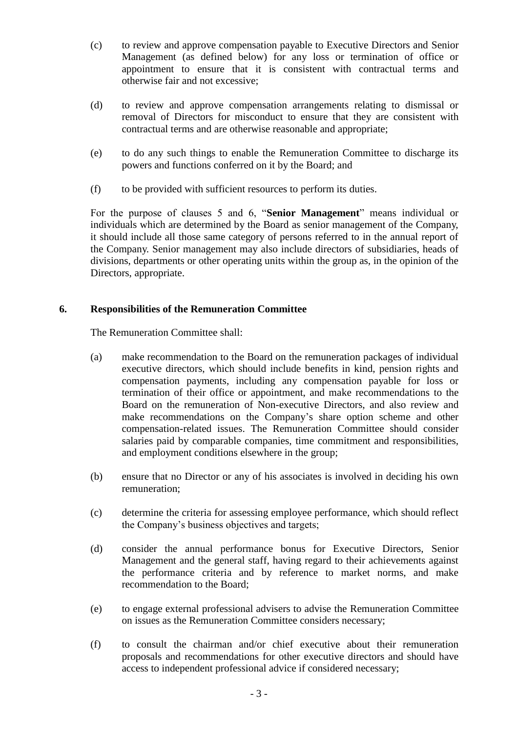- (c) to review and approve compensation payable to Executive Directors and Senior Management (as defined below) for any loss or termination of office or appointment to ensure that it is consistent with contractual terms and otherwise fair and not excessive;
- (d) to review and approve compensation arrangements relating to dismissal or removal of Directors for misconduct to ensure that they are consistent with contractual terms and are otherwise reasonable and appropriate;
- (e) to do any such things to enable the Remuneration Committee to discharge its powers and functions conferred on it by the Board; and
- (f) to be provided with sufficient resources to perform its duties.

For the purpose of clauses 5 and 6, "**Senior Management**" means individual or individuals which are determined by the Board as senior management of the Company, it should include all those same category of persons referred to in the annual report of the Company. Senior management may also include directors of subsidiaries, heads of divisions, departments or other operating units within the group as, in the opinion of the Directors, appropriate.

# **6. Responsibilities of the Remuneration Committee**

The Remuneration Committee shall:

- (a) make recommendation to the Board on the remuneration packages of individual executive directors, which should include benefits in kind, pension rights and compensation payments, including any compensation payable for loss or termination of their office or appointment, and make recommendations to the Board on the remuneration of Non-executive Directors, and also review and make recommendations on the Company's share option scheme and other compensation-related issues. The Remuneration Committee should consider salaries paid by comparable companies, time commitment and responsibilities, and employment conditions elsewhere in the group;
- (b) ensure that no Director or any of his associates is involved in deciding his own remuneration;
- (c) determine the criteria for assessing employee performance, which should reflect the Company's business objectives and targets;
- (d) consider the annual performance bonus for Executive Directors, Senior Management and the general staff, having regard to their achievements against the performance criteria and by reference to market norms, and make recommendation to the Board;
- (e) to engage external professional advisers to advise the Remuneration Committee on issues as the Remuneration Committee considers necessary;
- (f) to consult the chairman and/or chief executive about their remuneration proposals and recommendations for other executive directors and should have access to independent professional advice if considered necessary;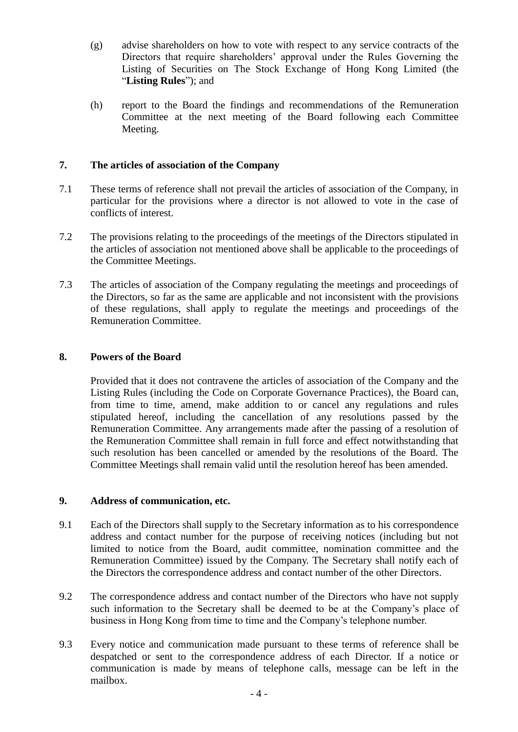- (g) advise shareholders on how to vote with respect to any service contracts of the Directors that require shareholders' approval under the Rules Governing the Listing of Securities on The Stock Exchange of Hong Kong Limited (the "**Listing Rules**"); and
- (h) report to the Board the findings and recommendations of the Remuneration Committee at the next meeting of the Board following each Committee Meeting.

## **7. The articles of association of the Company**

- 7.1 These terms of reference shall not prevail the articles of association of the Company, in particular for the provisions where a director is not allowed to vote in the case of conflicts of interest.
- 7.2 The provisions relating to the proceedings of the meetings of the Directors stipulated in the articles of association not mentioned above shall be applicable to the proceedings of the Committee Meetings.
- 7.3 The articles of association of the Company regulating the meetings and proceedings of the Directors, so far as the same are applicable and not inconsistent with the provisions of these regulations, shall apply to regulate the meetings and proceedings of the Remuneration Committee.

### **8. Powers of the Board**

Provided that it does not contravene the articles of association of the Company and the Listing Rules (including the Code on Corporate Governance Practices), the Board can, from time to time, amend, make addition to or cancel any regulations and rules stipulated hereof, including the cancellation of any resolutions passed by the Remuneration Committee. Any arrangements made after the passing of a resolution of the Remuneration Committee shall remain in full force and effect notwithstanding that such resolution has been cancelled or amended by the resolutions of the Board. The Committee Meetings shall remain valid until the resolution hereof has been amended.

### **9. Address of communication, etc.**

- 9.1 Each of the Directors shall supply to the Secretary information as to his correspondence address and contact number for the purpose of receiving notices (including but not limited to notice from the Board, audit committee, nomination committee and the Remuneration Committee) issued by the Company. The Secretary shall notify each of the Directors the correspondence address and contact number of the other Directors.
- 9.2 The correspondence address and contact number of the Directors who have not supply such information to the Secretary shall be deemed to be at the Company's place of business in Hong Kong from time to time and the Company's telephone number.
- 9.3 Every notice and communication made pursuant to these terms of reference shall be despatched or sent to the correspondence address of each Director. If a notice or communication is made by means of telephone calls, message can be left in the mailbox.